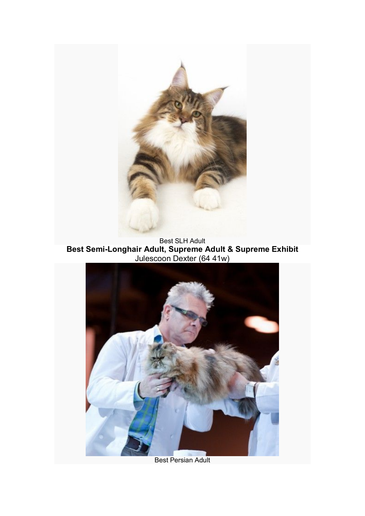

Best SLH Adult **Best Semi-Longhair Adult, Supreme Adult & Supreme Exhibit** Julescoon Dexter (64 41w)



Best Persian Adult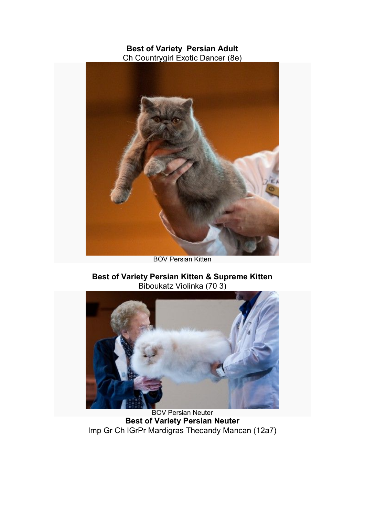## **Best of Variety Persian Adult** Ch Countrygirl Exotic Dancer (8e)



BOV Persian Kitten

# **Best of Variety Persian Kitten & Supreme Kitten** Biboukatz Violinka (70 3)



BOV Persian Neuter **Best of Variety Persian Neuter** Imp Gr Ch IGrPr Mardigras Thecandy Mancan (12a7)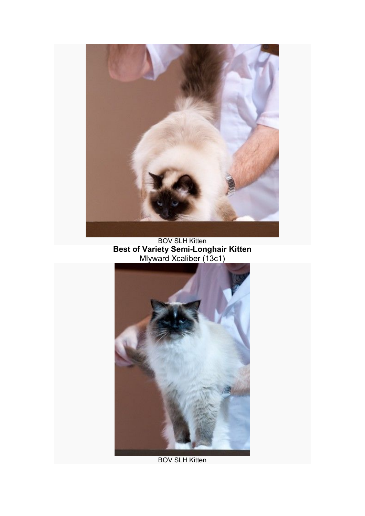

BOV SLH Kitten **Best of Variety Semi-Longhair Kitten** Mlyward Xcaliber (13c1)



**BOV SLH Kitten**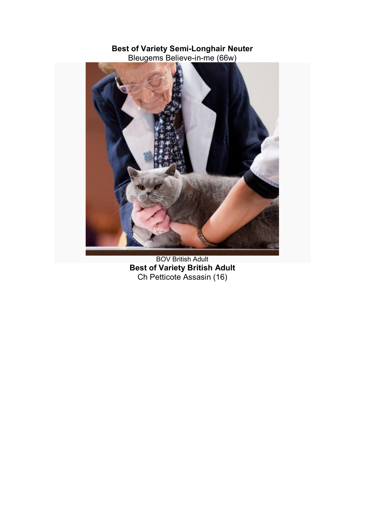#### **Best of Variety Semi-Longhair Neuter** Bleugems Believe-in-me (66w)



BOV British Adult **Best of Variety British Adult** Ch Petticote Assasin (16)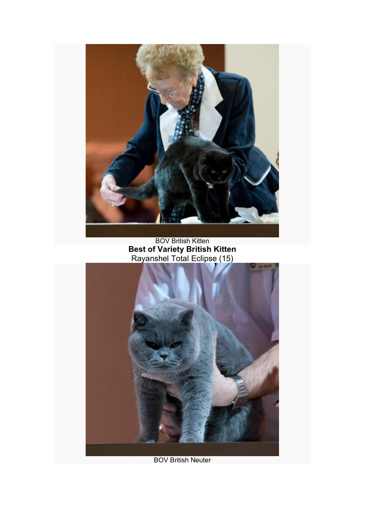

BOV British Kitten **Best of Variety British Kitten** Rayanshel Total Eclipse (15)



BOV British Neuter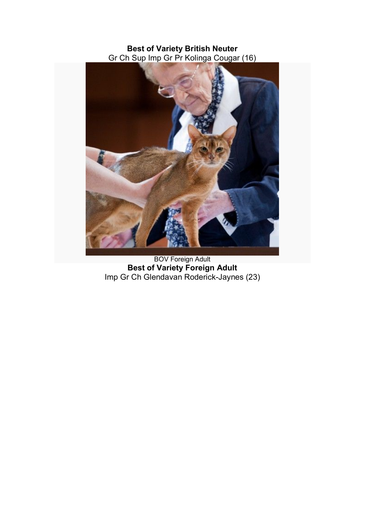## **Best of Variety British Neuter** Gr Ch Sup Imp Gr Pr Kolinga Cougar (16)



BOV Foreign Adult **Best of Variety Foreign Adult** Imp Gr Ch Glendavan Roderick-Jaynes (23)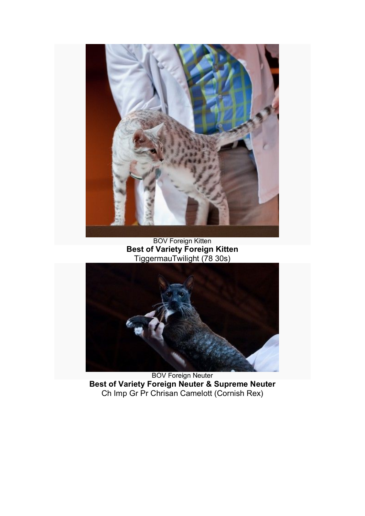

BOV Foreign Kitten **Best of Variety Foreign Kitten** TiggermauTwilight (78 30s)



BOV Foreign Neuter **Best of Variety Foreign Neuter & Supreme Neuter** Ch Imp Gr Pr Chrisan Camelott (Cornish Rex)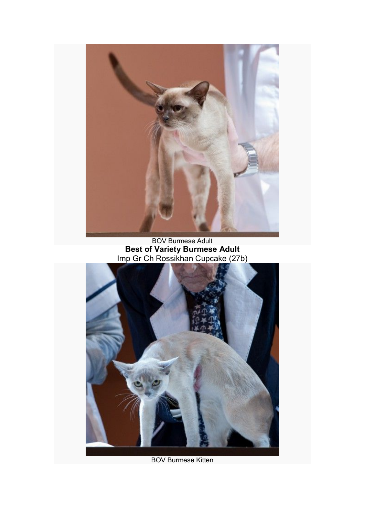

BOV Burmese Adult **Best of Variety Burmese Adult** Imp Gr Ch Rossikhan Cupcake (27b)



BOV Burmese Kitten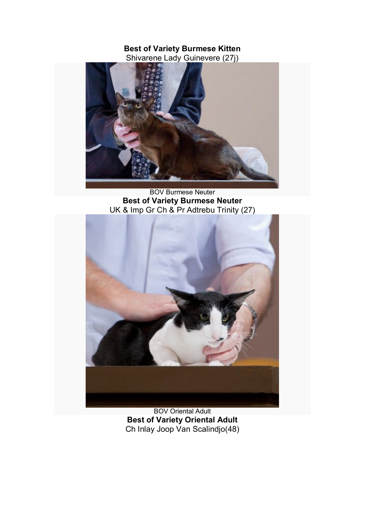## **Best of Variety Burmese Kitten** Shivarene Lady Guinevere (27j)



BOV Burmese Neuter **Best of Variety Burmese Neuter** UK & Imp Gr Ch & Pr Adtrebu Trinity (27)



BOV Oriental Adult **Best of Variety Oriental Adult** Ch Inlay Joop Van Scalindjo(48)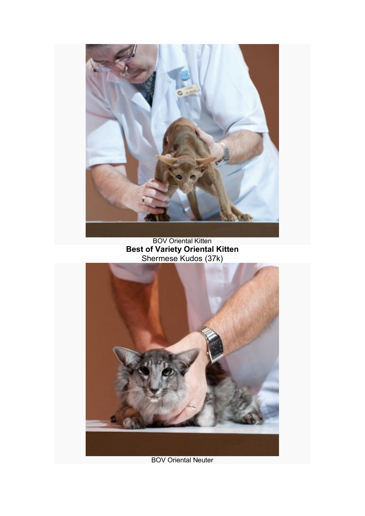

BOV Oriental Kitten **Best of Variety Oriental Kitten** Shermese Kudos (37k)



BOV Oriental Neuter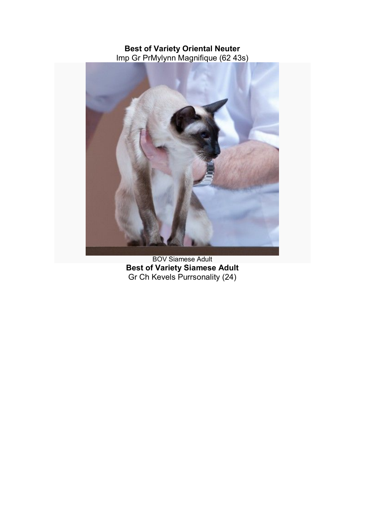### **Best of Variety Oriental Neuter** Imp Gr PrMylynn Magnifique (62 43s)



BOV Siamese Adult **Best of Variety Siamese Adult** Gr Ch Kevels Purrsonality (24)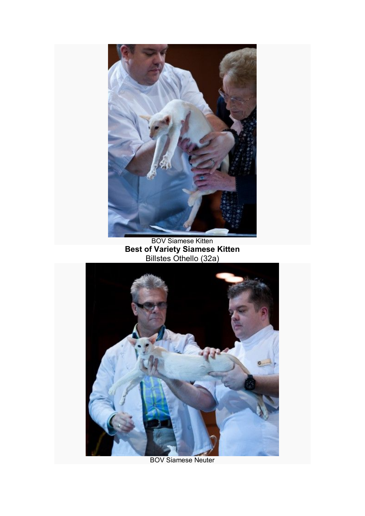

BOV Siamese Kitten **Best of Variety Siamese Kitten** Billstes Othello (32a)



BOV Siamese Neuter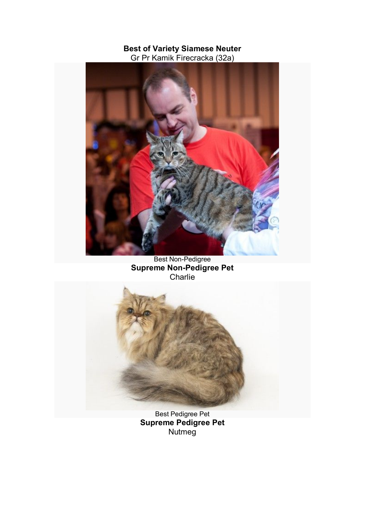#### **Best of Variety Siamese Neuter** Gr Pr Kamik Firecracka (32a)



Best Non-Pedigree **Supreme Non-Pedigree Pet Charlie** 



Best Pedigree Pet **Supreme Pedigree Pet** Nutmeg